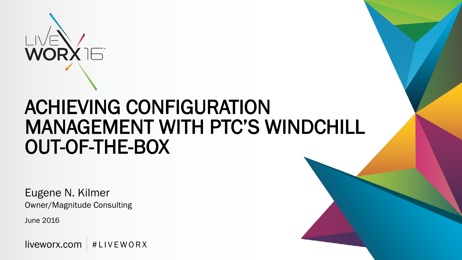

# ACHIEVING CONFIGURATION MANAGEMENT WITH PTC'S WINDCHILL OUT-OF-THE-BOX

Eugene N. Kilmer Owner/Magnitude Consulting

June 2016

 $liverex.com \nvert #LIVEWORX$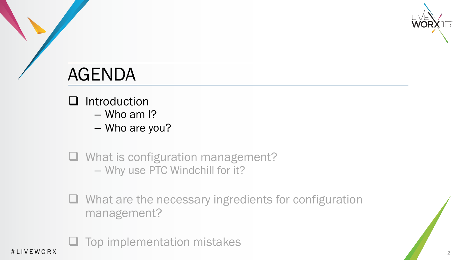

- $\Box$  Introduction
	- Who am I?
	- Who are you?
- **Q** What is configuration management? – Why use PTC Windchill for it?
- $\Box$  What are the necessary ingredients for configuration management?

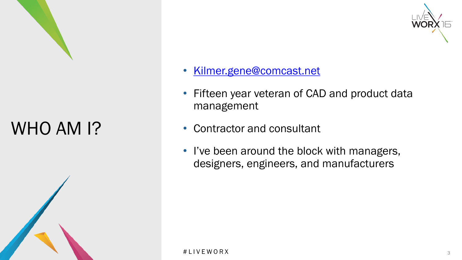

WHO AM I?

- [Kilmer.gene@comcast.net](mailto:Kilmer.gene@comcast.net)
- Fifteen year veteran of CAD and product data management
- Contractor and consultant
- I've been around the block with managers, designers, engineers, and manufacturers

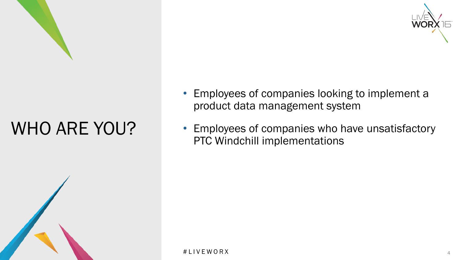

# WHO ARE YOU?





- Employees of companies looking to implement a product data management system
- Employees of companies who have unsatisfactory PTC Windchill implementations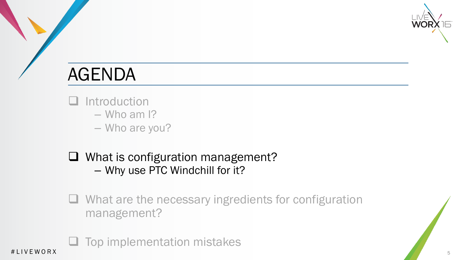

- Introduction
	- Who am I?
	- Who are you?
- □ What is configuration management? – Why use PTC Windchill for it?
- $\Box$  What are the necessary ingredients for configuration management?

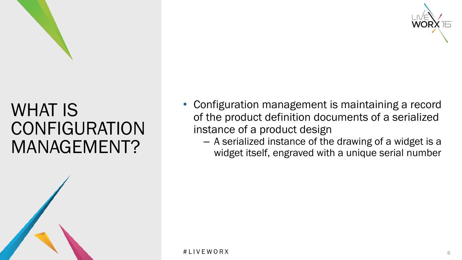



#### WHAT IS **CONFIGURATION** MANAGEMENT?



- Configuration management is maintaining a record of the product definition documents of a serialized instance of a product design
	- A serialized instance of the drawing of a widget is a widget itself, engraved with a unique serial number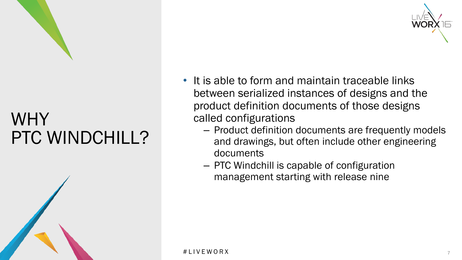### WHY PTC WINDCHILL?





- It is able to form and maintain traceable links between serialized instances of designs and the product definition documents of those designs called configurations
	- Product definition documents are frequently models and drawings, but often include other engineering documents
	- PTC Windchill is capable of configuration management starting with release nine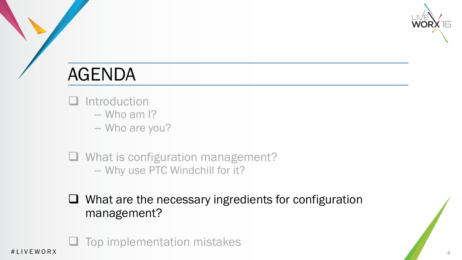

- Introduction
	- Who am I?
	- Who are you?
- **Q** What is configuration management? – Why use PTC Windchill for it?
- $\Box$  What are the necessary ingredients for configuration management?

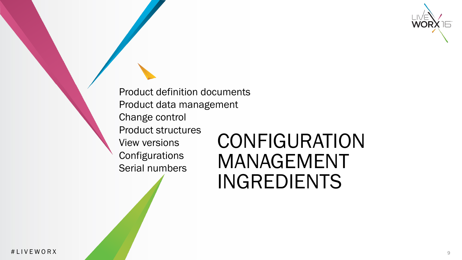Product definition documents Product data management Change control Product structures View versions **Configurations** Serial numbers

# **CONFIGURATION** MANAGEMENT INGREDIENTS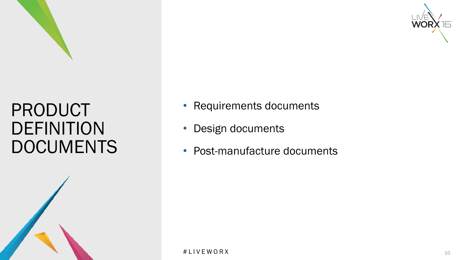



#### PRODUCT DEFINITION DOCUMENTS



- Requirements documents
- Design documents
- Post-manufacture documents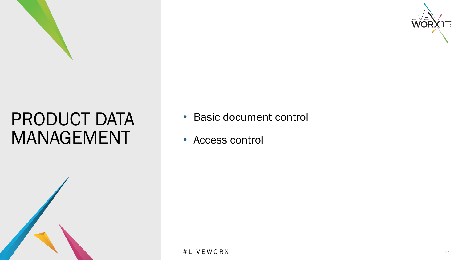



#### PRODUCT DATA MANAGEMENT



- Basic document control
- Access control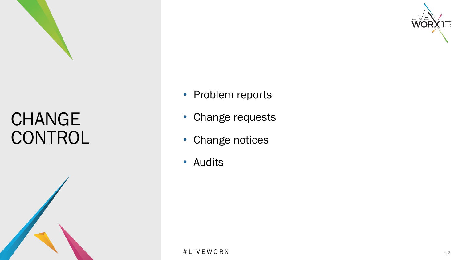



## CHANGE **CONTROL**



- Problem reports
- Change requests
- Change notices
- Audits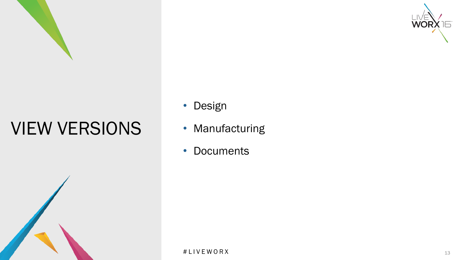



- Design
- Manufacturing
- Documents

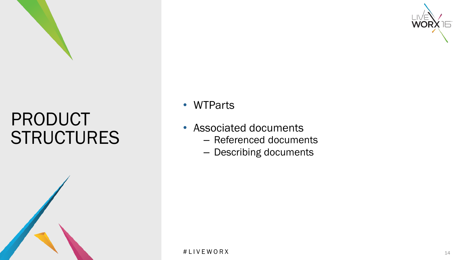



### PRODUCT **STRUCTURES**



• WTParts

- Associated documents
	- Referenced documents
	- Describing documents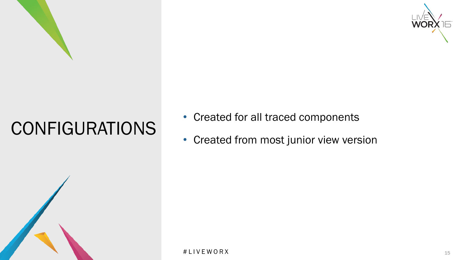



# CONFIGURATIONS



- Created for all traced components
- Created from most junior view version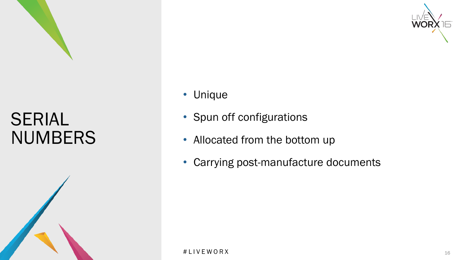



#### SERIAL NUMBERS



- Unique
- Spun off configurations
- Allocated from the bottom up
- Carrying post-manufacture documents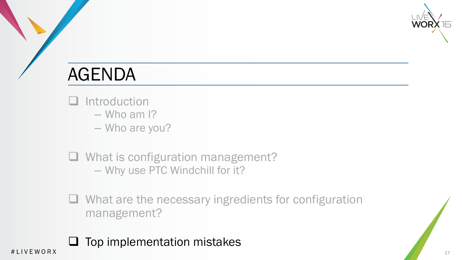

- **Introduction** 
	- Who am I?
	- Who are you?
- **Q** What is configuration management? – Why use PTC Windchill for it?
- $\Box$  What are the necessary ingredients for configuration management?

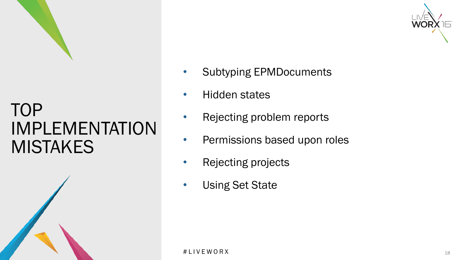





- Subtyping EPMDocuments
- Hidden states
- Rejecting problem reports
- Permissions based upon roles
- Rejecting projects
- Using Set State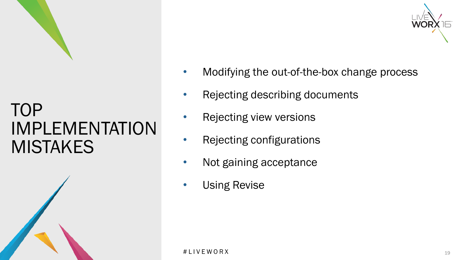





- Modifying the out-of-the-box change process
- Rejecting describing documents
- Rejecting view versions
- Rejecting configurations
- Not gaining acceptance
- Using Revise